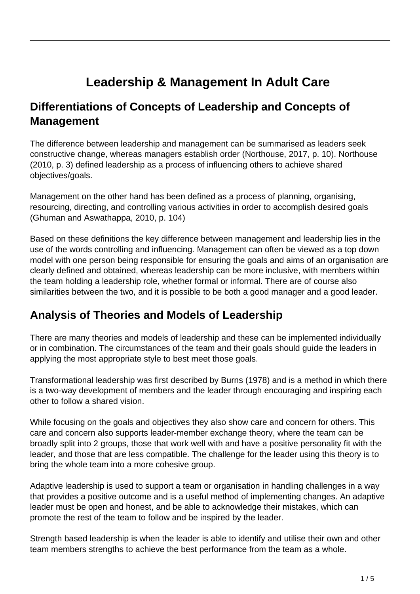# **Leadership & Management In Adult Care**

#### **Differentiations of Concepts of Leadership and Concepts of Management**

The difference between leadership and management can be summarised as leaders seek constructive change, whereas managers establish order (Northouse, 2017, p. 10). Northouse (2010, p. 3) defined leadership as a process of influencing others to achieve shared objectives/goals.

Management on the other hand has been defined as a process of planning, organising, resourcing, directing, and controlling various activities in order to accomplish desired goals (Ghuman and Aswathappa, 2010, p. 104)

Based on these definitions the key difference between management and leadership lies in the use of the words controlling and influencing. Management can often be viewed as a top down model with one person being responsible for ensuring the goals and aims of an organisation are clearly defined and obtained, whereas leadership can be more inclusive, with members within the team holding a leadership role, whether formal or informal. There are of course also similarities between the two, and it is possible to be both a good manager and a good leader.

#### **Analysis of Theories and Models of Leadership**

There are many theories and models of leadership and these can be implemented individually or in combination. The circumstances of the team and their goals should guide the leaders in applying the most appropriate style to best meet those goals.

Transformational leadership was first described by Burns (1978) and is a method in which there is a two-way development of members and the leader through encouraging and inspiring each other to follow a shared vision.

While focusing on the goals and objectives they also show care and concern for others. This care and concern also supports leader-member exchange theory, where the team can be broadly split into 2 groups, those that work well with and have a positive personality fit with the leader, and those that are less compatible. The challenge for the leader using this theory is to bring the whole team into a more cohesive group.

Adaptive leadership is used to support a team or organisation in handling challenges in a way that provides a positive outcome and is a useful method of implementing changes. An adaptive leader must be open and honest, and be able to acknowledge their mistakes, which can promote the rest of the team to follow and be inspired by the leader.

Strength based leadership is when the leader is able to identify and utilise their own and other team members strengths to achieve the best performance from the team as a whole.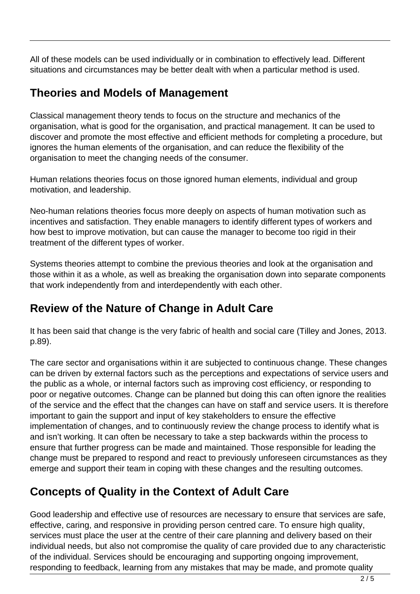All of these models can be used individually or in combination to effectively lead. Different situations and circumstances may be better dealt with when a particular method is used.

#### **Theories and Models of Management**

Classical management theory tends to focus on the structure and mechanics of the organisation, what is good for the organisation, and practical management. It can be used to discover and promote the most effective and efficient methods for completing a procedure, but ignores the human elements of the organisation, and can reduce the flexibility of the organisation to meet the changing needs of the consumer.

Human relations theories focus on those ignored human elements, individual and group motivation, and leadership.

Neo-human relations theories focus more deeply on aspects of human motivation such as incentives and satisfaction. They enable managers to identify different types of workers and how best to improve motivation, but can cause the manager to become too rigid in their treatment of the different types of worker.

Systems theories attempt to combine the previous theories and look at the organisation and those within it as a whole, as well as breaking the organisation down into separate components that work independently from and interdependently with each other.

#### **Review of the Nature of Change in Adult Care**

It has been said that change is the very fabric of health and social care (Tilley and Jones, 2013. p.89).

The care sector and organisations within it are subjected to continuous change. These changes can be driven by external factors such as the perceptions and expectations of service users and the public as a whole, or internal factors such as improving cost efficiency, or responding to poor or negative outcomes. Change can be planned but doing this can often ignore the realities of the service and the effect that the changes can have on staff and service users. It is therefore important to gain the support and input of key stakeholders to ensure the effective implementation of changes, and to continuously review the change process to identify what is and isn't working. It can often be necessary to take a step backwards within the process to ensure that further progress can be made and maintained. Those responsible for leading the change must be prepared to respond and react to previously unforeseen circumstances as they emerge and support their team in coping with these changes and the resulting outcomes.

## **Concepts of Quality in the Context of Adult Care**

Good leadership and effective use of resources are necessary to ensure that services are safe, effective, caring, and responsive in providing person centred care. To ensure high quality, services must place the user at the centre of their care planning and delivery based on their individual needs, but also not compromise the quality of care provided due to any characteristic of the individual. Services should be encouraging and supporting ongoing improvement, responding to feedback, learning from any mistakes that may be made, and promote quality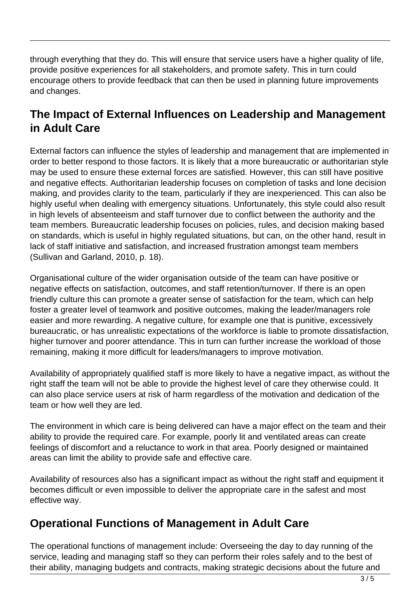through everything that they do. This will ensure that service users have a higher quality of life, provide positive experiences for all stakeholders, and promote safety. This in turn could encourage others to provide feedback that can then be used in planning future improvements and changes.

### **The Impact of External Influences on Leadership and Management in Adult Care**

External factors can influence the styles of leadership and management that are implemented in order to better respond to those factors. It is likely that a more bureaucratic or authoritarian style may be used to ensure these external forces are satisfied. However, this can still have positive and negative effects. Authoritarian leadership focuses on completion of tasks and lone decision making, and provides clarity to the team, particularly if they are inexperienced. This can also be highly useful when dealing with emergency situations. Unfortunately, this style could also result in high levels of absenteeism and staff turnover due to conflict between the authority and the team members. Bureaucratic leadership focuses on policies, rules, and decision making based on standards, which is useful in highly regulated situations, but can, on the other hand, result in lack of staff initiative and satisfaction, and increased frustration amongst team members (Sullivan and Garland, 2010, p. 18).

Organisational culture of the wider organisation outside of the team can have positive or negative effects on satisfaction, outcomes, and staff retention/turnover. If there is an open friendly culture this can promote a greater sense of satisfaction for the team, which can help foster a greater level of teamwork and positive outcomes, making the leader/managers role easier and more rewarding. A negative culture, for example one that is punitive, excessively bureaucratic, or has unrealistic expectations of the workforce is liable to promote dissatisfaction, higher turnover and poorer attendance. This in turn can further increase the workload of those remaining, making it more difficult for leaders/managers to improve motivation.

Availability of appropriately qualified staff is more likely to have a negative impact, as without the right staff the team will not be able to provide the highest level of care they otherwise could. It can also place service users at risk of harm regardless of the motivation and dedication of the team or how well they are led.

The environment in which care is being delivered can have a major effect on the team and their ability to provide the required care. For example, poorly lit and ventilated areas can create feelings of discomfort and a reluctance to work in that area. Poorly designed or maintained areas can limit the ability to provide safe and effective care.

Availability of resources also has a significant impact as without the right staff and equipment it becomes difficult or even impossible to deliver the appropriate care in the safest and most effective way.

### **Operational Functions of Management in Adult Care**

The operational functions of management include: Overseeing the day to day running of the service, leading and managing staff so they can perform their roles safely and to the best of their ability, managing budgets and contracts, making strategic decisions about the future and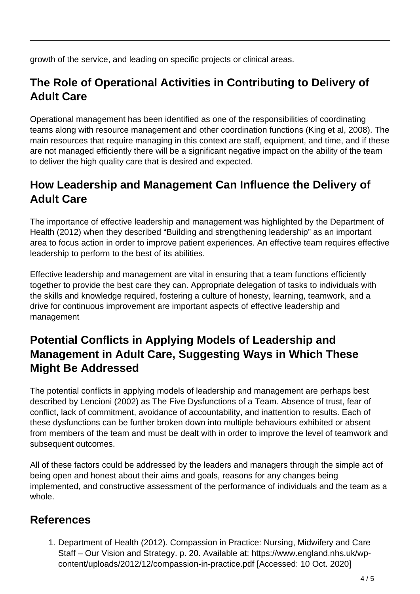growth of the service, and leading on specific projects or clinical areas.

### **The Role of Operational Activities in Contributing to Delivery of Adult Care**

Operational management has been identified as one of the responsibilities of coordinating teams along with resource management and other coordination functions (King et al, 2008). The main resources that require managing in this context are staff, equipment, and time, and if these are not managed efficiently there will be a significant negative impact on the ability of the team to deliver the high quality care that is desired and expected.

### **How Leadership and Management Can Influence the Delivery of Adult Care**

The importance of effective leadership and management was highlighted by the Department of Health (2012) when they described "Building and strengthening leadership" as an important area to focus action in order to improve patient experiences. An effective team requires effective leadership to perform to the best of its abilities.

Effective leadership and management are vital in ensuring that a team functions efficiently together to provide the best care they can. Appropriate delegation of tasks to individuals with the skills and knowledge required, fostering a culture of honesty, learning, teamwork, and a drive for continuous improvement are important aspects of effective leadership and management

### **Potential Conflicts in Applying Models of Leadership and Management in Adult Care, Suggesting Ways in Which These Might Be Addressed**

The potential conflicts in applying models of leadership and management are perhaps best described by Lencioni (2002) as The Five Dysfunctions of a Team. Absence of trust, fear of conflict, lack of commitment, avoidance of accountability, and inattention to results. Each of these dysfunctions can be further broken down into multiple behaviours exhibited or absent from members of the team and must be dealt with in order to improve the level of teamwork and subsequent outcomes.

All of these factors could be addressed by the leaders and managers through the simple act of being open and honest about their aims and goals, reasons for any changes being implemented, and constructive assessment of the performance of individuals and the team as a whole.

#### **References**

1. Department of Health (2012). Compassion in Practice: Nursing, Midwifery and Care Staff – Our Vision and Strategy. p. 20. Available at: https://www.england.nhs.uk/wpcontent/uploads/2012/12/compassion-in-practice.pdf [Accessed: 10 Oct. 2020]